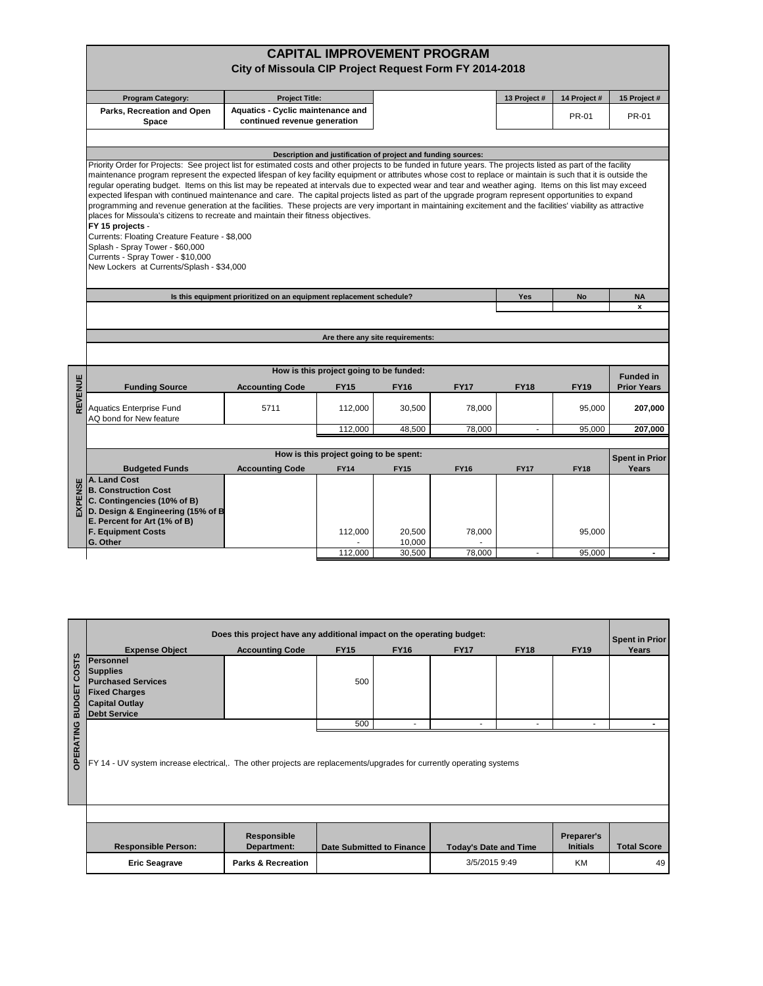|         |                                                                                                                                                                                                                                                                                                                          | City of Missoula CIP Project Request Form FY 2014-2018              |                                         |                                                               | <b>CAPITAL IMPROVEMENT PROGRAM</b> |                |              |                                |  |  |  |  |  |
|---------|--------------------------------------------------------------------------------------------------------------------------------------------------------------------------------------------------------------------------------------------------------------------------------------------------------------------------|---------------------------------------------------------------------|-----------------------------------------|---------------------------------------------------------------|------------------------------------|----------------|--------------|--------------------------------|--|--|--|--|--|
|         |                                                                                                                                                                                                                                                                                                                          |                                                                     |                                         |                                                               |                                    |                |              |                                |  |  |  |  |  |
|         | <b>Program Category:</b>                                                                                                                                                                                                                                                                                                 | <b>Project Title:</b>                                               |                                         |                                                               |                                    | 13 Project #   | 14 Project # | 15 Project #                   |  |  |  |  |  |
|         | Parks, Recreation and Open<br>Space                                                                                                                                                                                                                                                                                      | Aquatics - Cyclic maintenance and<br>continued revenue generation   |                                         |                                                               |                                    |                | PR-01        | PR-01                          |  |  |  |  |  |
|         |                                                                                                                                                                                                                                                                                                                          |                                                                     |                                         |                                                               |                                    |                |              |                                |  |  |  |  |  |
|         |                                                                                                                                                                                                                                                                                                                          |                                                                     |                                         | Description and justification of project and funding sources: |                                    |                |              |                                |  |  |  |  |  |
|         | Priority Order for Projects: See project list for estimated costs and other projects to be funded in future years. The projects listed as part of the facility                                                                                                                                                           |                                                                     |                                         |                                                               |                                    |                |              |                                |  |  |  |  |  |
|         | maintenance program represent the expected lifespan of key facility equipment or attributes whose cost to replace or maintain is such that it is outside the<br>regular operating budget. Items on this list may be repeated at intervals due to expected wear and tear and weather aging. Items on this list may exceed |                                                                     |                                         |                                                               |                                    |                |              |                                |  |  |  |  |  |
|         | expected lifespan with continued maintenance and care. The capital projects listed as part of the upgrade program represent opportunities to expand                                                                                                                                                                      |                                                                     |                                         |                                                               |                                    |                |              |                                |  |  |  |  |  |
|         | programming and revenue generation at the facilities. These projects are very important in maintaining excitement and the facilities' viability as attractive                                                                                                                                                            |                                                                     |                                         |                                                               |                                    |                |              |                                |  |  |  |  |  |
|         | places for Missoula's citizens to recreate and maintain their fitness objectives.                                                                                                                                                                                                                                        |                                                                     |                                         |                                                               |                                    |                |              |                                |  |  |  |  |  |
|         | FY 15 projects -                                                                                                                                                                                                                                                                                                         |                                                                     |                                         |                                                               |                                    |                |              |                                |  |  |  |  |  |
|         | Currents: Floating Creature Feature - \$8,000<br>Splash - Spray Tower - \$60,000                                                                                                                                                                                                                                         |                                                                     |                                         |                                                               |                                    |                |              |                                |  |  |  |  |  |
|         | Currents - Spray Tower - \$10,000                                                                                                                                                                                                                                                                                        |                                                                     |                                         |                                                               |                                    |                |              |                                |  |  |  |  |  |
|         | New Lockers at Currents/Splash - \$34,000                                                                                                                                                                                                                                                                                |                                                                     |                                         |                                                               |                                    |                |              |                                |  |  |  |  |  |
|         |                                                                                                                                                                                                                                                                                                                          |                                                                     |                                         |                                                               |                                    |                |              |                                |  |  |  |  |  |
|         |                                                                                                                                                                                                                                                                                                                          | Is this equipment prioritized on an equipment replacement schedule? |                                         |                                                               |                                    | Yes            | <b>NA</b>    |                                |  |  |  |  |  |
|         |                                                                                                                                                                                                                                                                                                                          |                                                                     |                                         | x                                                             |                                    |                |              |                                |  |  |  |  |  |
|         |                                                                                                                                                                                                                                                                                                                          |                                                                     |                                         |                                                               |                                    |                |              |                                |  |  |  |  |  |
|         |                                                                                                                                                                                                                                                                                                                          |                                                                     |                                         | Are there any site requirements:                              |                                    |                |              |                                |  |  |  |  |  |
|         |                                                                                                                                                                                                                                                                                                                          |                                                                     |                                         |                                                               |                                    |                |              |                                |  |  |  |  |  |
|         |                                                                                                                                                                                                                                                                                                                          |                                                                     | How is this project going to be funded: |                                                               |                                    |                |              | <b>Funded in</b>               |  |  |  |  |  |
| REVENUE | <b>Funding Source</b>                                                                                                                                                                                                                                                                                                    | <b>Accounting Code</b>                                              | <b>FY15</b>                             | <b>FY16</b>                                                   | <b>FY17</b>                        | <b>FY18</b>    | <b>FY19</b>  | <b>Prior Years</b>             |  |  |  |  |  |
|         |                                                                                                                                                                                                                                                                                                                          |                                                                     |                                         |                                                               |                                    |                |              |                                |  |  |  |  |  |
|         | <b>Aquatics Enterprise Fund</b>                                                                                                                                                                                                                                                                                          | 5711                                                                | 112,000                                 | 30,500                                                        | 78,000                             |                | 95,000       | 207,000                        |  |  |  |  |  |
|         | AQ bond for New feature                                                                                                                                                                                                                                                                                                  |                                                                     |                                         |                                                               | 78.000                             | $\overline{a}$ |              | 207,000                        |  |  |  |  |  |
|         |                                                                                                                                                                                                                                                                                                                          |                                                                     | 112,000                                 | 48,500                                                        |                                    |                | 95,000       |                                |  |  |  |  |  |
|         | How is this project going to be spent:                                                                                                                                                                                                                                                                                   |                                                                     |                                         |                                                               |                                    |                |              |                                |  |  |  |  |  |
|         | <b>Budgeted Funds</b>                                                                                                                                                                                                                                                                                                    | <b>Accounting Code</b>                                              | <b>FY14</b>                             | <b>FY15</b>                                                   | <b>FY16</b>                        | <b>FY17</b>    | <b>FY18</b>  | <b>Spent in Prior</b><br>Years |  |  |  |  |  |
|         | A. Land Cost                                                                                                                                                                                                                                                                                                             |                                                                     |                                         |                                                               |                                    |                |              |                                |  |  |  |  |  |
| EXPENSE | <b>B. Construction Cost</b>                                                                                                                                                                                                                                                                                              |                                                                     |                                         |                                                               |                                    |                |              |                                |  |  |  |  |  |
|         | C. Contingencies (10% of B)                                                                                                                                                                                                                                                                                              |                                                                     |                                         |                                                               |                                    |                |              |                                |  |  |  |  |  |
|         | D. Design & Engineering (15% of B<br>E. Percent for Art (1% of B)                                                                                                                                                                                                                                                        |                                                                     |                                         |                                                               |                                    |                |              |                                |  |  |  |  |  |
|         | <b>F. Equipment Costs</b>                                                                                                                                                                                                                                                                                                |                                                                     | 112,000                                 | 20,500                                                        | 78,000                             |                | 95,000       |                                |  |  |  |  |  |
|         | G. Other                                                                                                                                                                                                                                                                                                                 |                                                                     |                                         | 10,000                                                        |                                    |                |              |                                |  |  |  |  |  |
|         |                                                                                                                                                                                                                                                                                                                          |                                                                     | 112,000                                 | 30,500                                                        | 78.000                             |                | 95.000       |                                |  |  |  |  |  |

|                  | Does this project have any additional impact on the operating budget:<br><b>Spent in Prior</b>                       |                               |             |                                  |                              |             |                               |                    |  |  |  |
|------------------|----------------------------------------------------------------------------------------------------------------------|-------------------------------|-------------|----------------------------------|------------------------------|-------------|-------------------------------|--------------------|--|--|--|
|                  | <b>Expense Object</b>                                                                                                | <b>Accounting Code</b>        | <b>FY15</b> | <b>FY16</b>                      | <b>FY17</b>                  | <b>FY18</b> | <b>FY19</b>                   | Years              |  |  |  |
| <b>COSTS</b>     | Personnel                                                                                                            |                               |             |                                  |                              |             |                               |                    |  |  |  |
|                  | <b>Supplies</b>                                                                                                      |                               |             |                                  |                              |             |                               |                    |  |  |  |
|                  | <b>Purchased Services</b>                                                                                            |                               | 500         |                                  |                              |             |                               |                    |  |  |  |
|                  | <b>Fixed Charges</b>                                                                                                 |                               |             |                                  |                              |             |                               |                    |  |  |  |
|                  | <b>Capital Outlay</b>                                                                                                |                               |             |                                  |                              |             |                               |                    |  |  |  |
| <b>BUDGET</b>    | <b>Debt Service</b>                                                                                                  |                               |             |                                  |                              |             |                               |                    |  |  |  |
|                  |                                                                                                                      |                               | 500         |                                  |                              | ۰           | ٠                             |                    |  |  |  |
| <b>OPERATING</b> | FY 14 - UV system increase electrical,. The other projects are replacements/upgrades for currently operating systems |                               |             |                                  |                              |             |                               |                    |  |  |  |
|                  |                                                                                                                      |                               |             |                                  |                              |             |                               |                    |  |  |  |
|                  | <b>Responsible Person:</b>                                                                                           | Responsible<br>Department:    |             | <b>Date Submitted to Finance</b> | <b>Today's Date and Time</b> |             | Preparer's<br><b>Initials</b> | <b>Total Score</b> |  |  |  |
|                  | <b>Eric Seagrave</b>                                                                                                 | <b>Parks &amp; Recreation</b> |             |                                  | 3/5/2015 9:49                |             | <b>KM</b>                     | 49                 |  |  |  |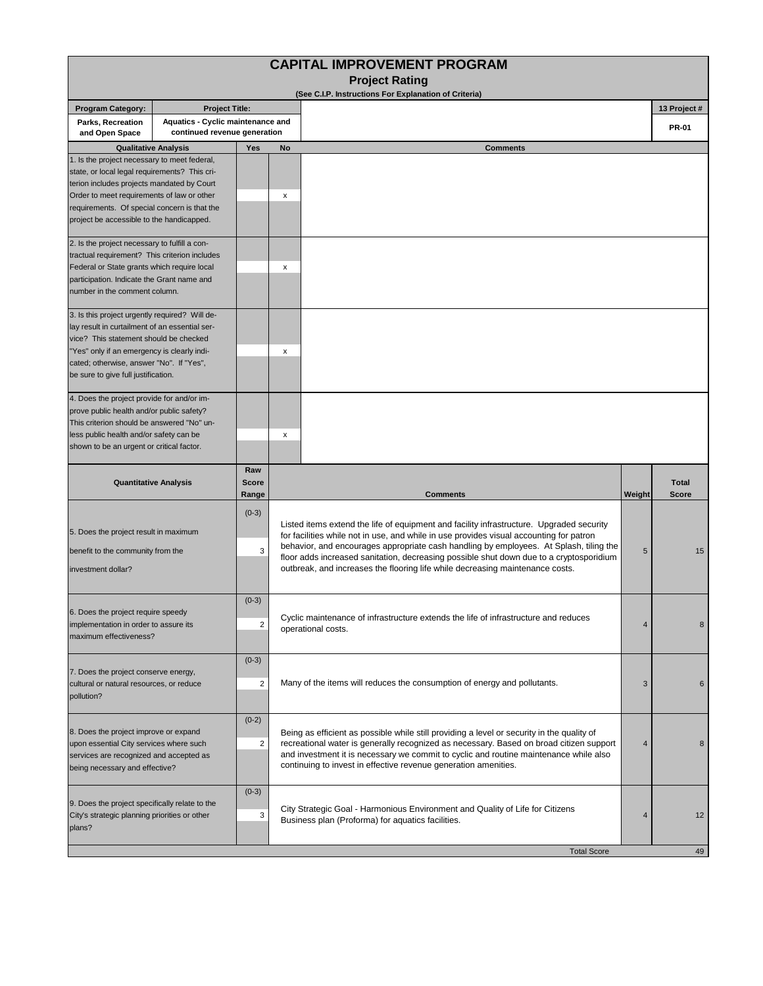|                                                                                                                                                                                                                                                                                        |                                                                   |                                    | <b>CAPITAL IMPROVEMENT PROGRAM</b>                                                                                                                                                                                                                                                                                                                                                                                                                        |        |                              |
|----------------------------------------------------------------------------------------------------------------------------------------------------------------------------------------------------------------------------------------------------------------------------------------|-------------------------------------------------------------------|------------------------------------|-----------------------------------------------------------------------------------------------------------------------------------------------------------------------------------------------------------------------------------------------------------------------------------------------------------------------------------------------------------------------------------------------------------------------------------------------------------|--------|------------------------------|
|                                                                                                                                                                                                                                                                                        |                                                                   |                                    | <b>Project Rating</b><br>(See C.I.P. Instructions For Explanation of Criteria)                                                                                                                                                                                                                                                                                                                                                                            |        |                              |
| <b>Program Category:</b>                                                                                                                                                                                                                                                               | <b>Project Title:</b>                                             |                                    |                                                                                                                                                                                                                                                                                                                                                                                                                                                           |        | 13 Project #                 |
| Parks, Recreation<br>and Open Space                                                                                                                                                                                                                                                    | Aquatics - Cyclic maintenance and<br>continued revenue generation |                                    |                                                                                                                                                                                                                                                                                                                                                                                                                                                           |        | <b>PR-01</b>                 |
| <b>Qualitative Analysis</b>                                                                                                                                                                                                                                                            |                                                                   | Yes                                | No<br><b>Comments</b>                                                                                                                                                                                                                                                                                                                                                                                                                                     |        |                              |
| 1. Is the project necessary to meet federal,<br>state, or local legal requirements? This cri-<br>terion includes projects mandated by Court<br>Order to meet requirements of law or other<br>requirements. Of special concern is that the<br>project be accessible to the handicapped. |                                                                   |                                    | x                                                                                                                                                                                                                                                                                                                                                                                                                                                         |        |                              |
| 2. Is the project necessary to fulfill a con-<br>tractual requirement? This criterion includes<br>Federal or State grants which require local<br>participation. Indicate the Grant name and<br>number in the comment column.                                                           |                                                                   |                                    | x                                                                                                                                                                                                                                                                                                                                                                                                                                                         |        |                              |
| 3. Is this project urgently required? Will de-<br>lay result in curtailment of an essential ser-<br>vice? This statement should be checked<br>"Yes" only if an emergency is clearly indi-<br>cated; otherwise, answer "No". If "Yes",<br>be sure to give full justification.           |                                                                   |                                    | х                                                                                                                                                                                                                                                                                                                                                                                                                                                         |        |                              |
| 4. Does the project provide for and/or im-<br>prove public health and/or public safety?<br>This criterion should be answered "No" un-<br>less public health and/or safety can be<br>shown to be an urgent or critical factor.                                                          |                                                                   |                                    | x                                                                                                                                                                                                                                                                                                                                                                                                                                                         |        |                              |
| <b>Quantitative Analysis</b>                                                                                                                                                                                                                                                           |                                                                   | Raw<br><b>Score</b><br>Range       | <b>Comments</b>                                                                                                                                                                                                                                                                                                                                                                                                                                           | Weight | <b>Total</b><br><b>Score</b> |
| 5. Does the project result in maximum<br>benefit to the community from the<br>investment dollar?                                                                                                                                                                                       |                                                                   | $(0-3)$<br>3                       | Listed items extend the life of equipment and facility infrastructure. Upgraded security<br>for facilities while not in use, and while in use provides visual accounting for patron<br>behavior, and encourages appropriate cash handling by employees. At Splash, tiling the<br>floor adds increased sanitation, decreasing possible shut down due to a cryptosporidium<br>outbreak, and increases the flooring life while decreasing maintenance costs. | 5      | 15                           |
| b. Does the project require speedy<br>implementation in order to assure its<br>maximum effectiveness?                                                                                                                                                                                  |                                                                   | $(0-3)$<br>2                       | Cyclic maintenance of infrastructure extends the life of infrastructure and reduces<br>operational costs.                                                                                                                                                                                                                                                                                                                                                 | 4      | 8                            |
| 7. Does the project conserve energy,<br>cultural or natural resources, or reduce<br>pollution?                                                                                                                                                                                         |                                                                   | $(0-3)$<br>$\overline{\mathbf{c}}$ | Many of the items will reduces the consumption of energy and pollutants.                                                                                                                                                                                                                                                                                                                                                                                  | 3      | 6                            |
| $(0-2)$<br>8. Does the project improve or expand<br>$\overline{c}$<br>upon essential City services where such<br>services are recognized and accepted as<br>being necessary and effective?                                                                                             |                                                                   |                                    | Being as efficient as possible while still providing a level or security in the quality of<br>recreational water is generally recognized as necessary. Based on broad citizen support<br>and investment it is necessary we commit to cyclic and routine maintenance while also<br>continuing to invest in effective revenue generation amenities.                                                                                                         | 4      | 8                            |
| 9. Does the project specifically relate to the<br>City's strategic planning priorities or other<br>plans?                                                                                                                                                                              |                                                                   | $(0-3)$<br>3                       | City Strategic Goal - Harmonious Environment and Quality of Life for Citizens<br>Business plan (Proforma) for aquatics facilities.                                                                                                                                                                                                                                                                                                                        | 4      | 12                           |
|                                                                                                                                                                                                                                                                                        |                                                                   |                                    | <b>Total Score</b>                                                                                                                                                                                                                                                                                                                                                                                                                                        |        | 49                           |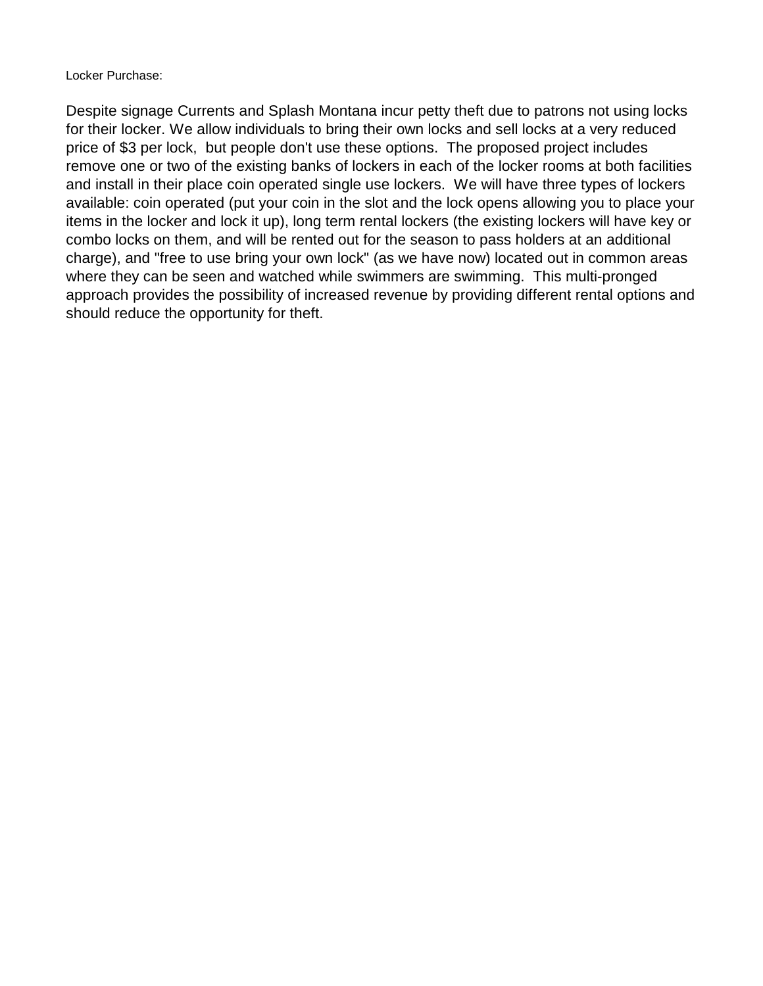Locker Purchase:

Despite signage Currents and Splash Montana incur petty theft due to patrons not using locks for their locker. We allow individuals to bring their own locks and sell locks at a very reduced price of \$3 per lock, but people don't use these options. The proposed project includes remove one or two of the existing banks of lockers in each of the locker rooms at both facilities and install in their place coin operated single use lockers. We will have three types of lockers available: coin operated (put your coin in the slot and the lock opens allowing you to place your items in the locker and lock it up), long term rental lockers (the existing lockers will have key or combo locks on them, and will be rented out for the season to pass holders at an additional charge), and "free to use bring your own lock" (as we have now) located out in common areas where they can be seen and watched while swimmers are swimming. This multi-pronged approach provides the possibility of increased revenue by providing different rental options and should reduce the opportunity for theft.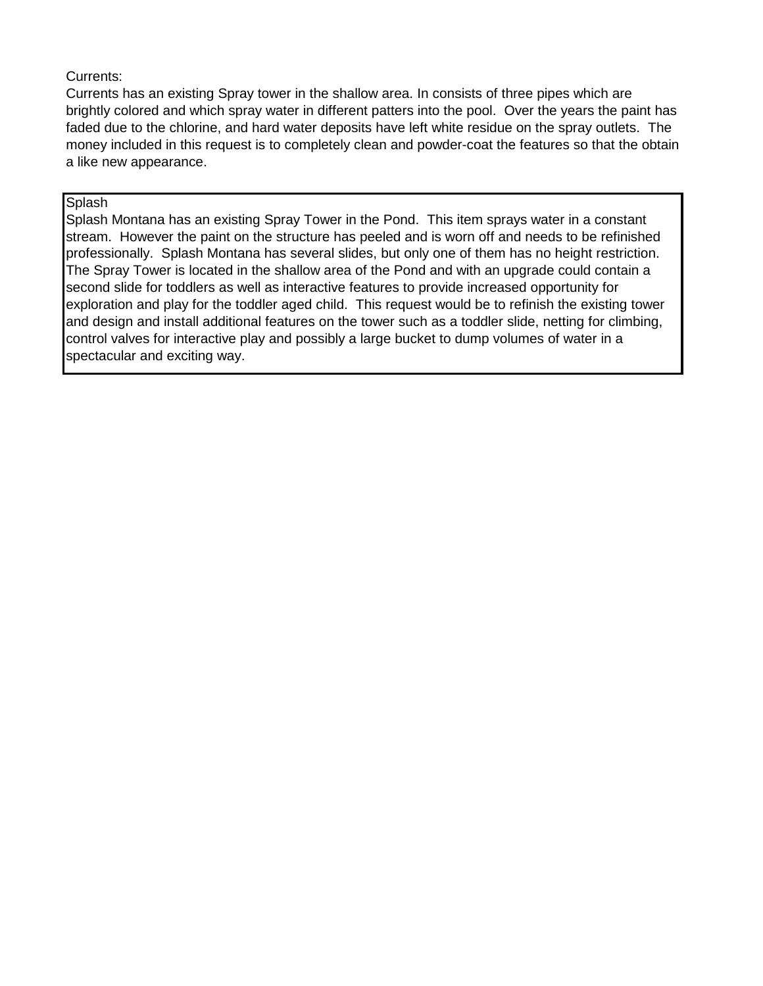## Currents:

Currents has an existing Spray tower in the shallow area. In consists of three pipes which are brightly colored and which spray water in different patters into the pool. Over the years the paint has faded due to the chlorine, and hard water deposits have left white residue on the spray outlets. The money included in this request is to completely clean and powder-coat the features so that the obtain a like new appearance.

## **Splash**

Splash Montana has an existing Spray Tower in the Pond. This item sprays water in a constant stream. However the paint on the structure has peeled and is worn off and needs to be refinished professionally. Splash Montana has several slides, but only one of them has no height restriction. The Spray Tower is located in the shallow area of the Pond and with an upgrade could contain a second slide for toddlers as well as interactive features to provide increased opportunity for exploration and play for the toddler aged child. This request would be to refinish the existing tower and design and install additional features on the tower such as a toddler slide, netting for climbing, control valves for interactive play and possibly a large bucket to dump volumes of water in a spectacular and exciting way.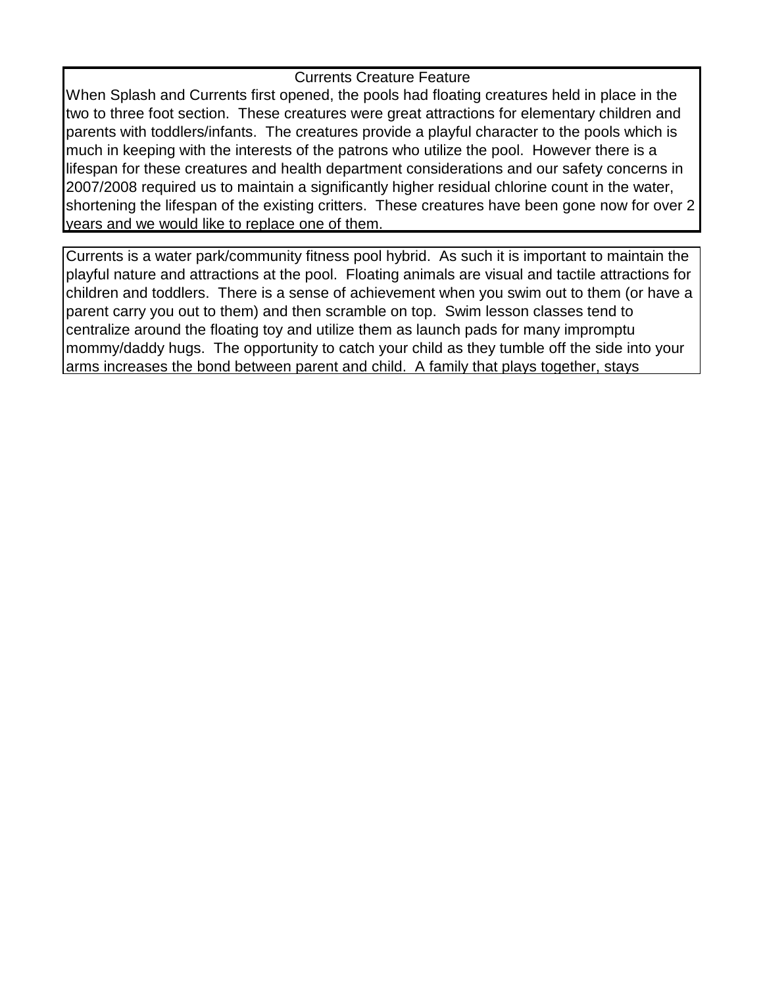## Currents Creature Feature

When Splash and Currents first opened, the pools had floating creatures held in place in the two to three foot section. These creatures were great attractions for elementary children and parents with toddlers/infants. The creatures provide a playful character to the pools which is much in keeping with the interests of the patrons who utilize the pool. However there is a lifespan for these creatures and health department considerations and our safety concerns in 2007/2008 required us to maintain a significantly higher residual chlorine count in the water, shortening the lifespan of the existing critters. These creatures have been gone now for over 2 years and we would like to replace one of them.

Currents is a water park/community fitness pool hybrid. As such it is important to maintain the playful nature and attractions at the pool. Floating animals are visual and tactile attractions for children and toddlers. There is a sense of achievement when you swim out to them (or have a parent carry you out to them) and then scramble on top. Swim lesson classes tend to centralize around the floating toy and utilize them as launch pads for many impromptu mommy/daddy hugs. The opportunity to catch your child as they tumble off the side into your arms increases the bond between parent and child. A family that plays together, stays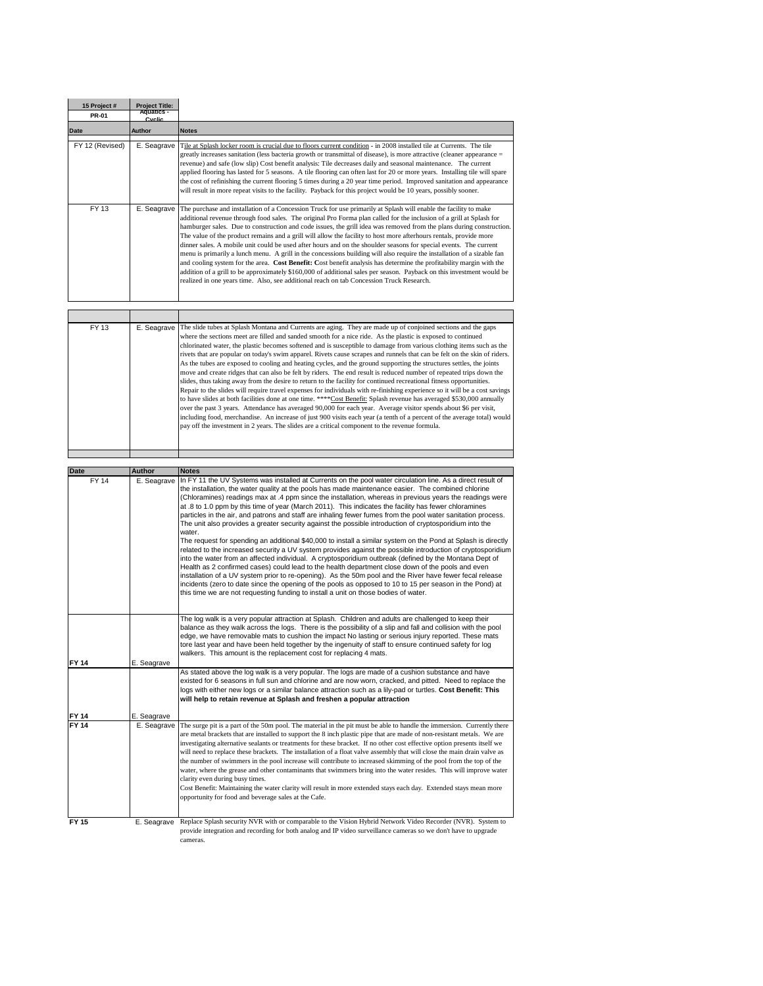| 15 Project #<br>PR-01 | <b>Project Title:</b><br>Aquatics -<br>Cyclia |                                                                                                                                                                                                                                                                                                                                                                                                                                                                                                                                                                                                                                                                                                                                                                                                                                                                                                                                                                                                                                                                                                                                                                                                                                                                                                                                                                                                                                                                   |
|-----------------------|-----------------------------------------------|-------------------------------------------------------------------------------------------------------------------------------------------------------------------------------------------------------------------------------------------------------------------------------------------------------------------------------------------------------------------------------------------------------------------------------------------------------------------------------------------------------------------------------------------------------------------------------------------------------------------------------------------------------------------------------------------------------------------------------------------------------------------------------------------------------------------------------------------------------------------------------------------------------------------------------------------------------------------------------------------------------------------------------------------------------------------------------------------------------------------------------------------------------------------------------------------------------------------------------------------------------------------------------------------------------------------------------------------------------------------------------------------------------------------------------------------------------------------|
| Date                  | Author                                        | <b>Notes</b>                                                                                                                                                                                                                                                                                                                                                                                                                                                                                                                                                                                                                                                                                                                                                                                                                                                                                                                                                                                                                                                                                                                                                                                                                                                                                                                                                                                                                                                      |
| FY 12 (Revised)       | E. Seagrave                                   | Tile at Splash locker room is crucial due to floors current condition - in 2008 installed tile at Currents. The tile<br>greatly increases sanitation (less bacteria growth or transmittal of disease), is more attractive (cleaner appearance =<br>revenue) and safe (low slip) Cost benefit analysis: Tile decreases daily and seasonal maintenance. The current<br>applied flooring has lasted for 5 seasons. A tile flooring can often last for 20 or more years. Installing tile will spare<br>the cost of refinishing the current flooring 5 times during a 20 year time period. Improved sanitation and appearance<br>will result in more repeat visits to the facility. Payback for this project would be 10 years, possibly sooner.                                                                                                                                                                                                                                                                                                                                                                                                                                                                                                                                                                                                                                                                                                                       |
| FY 13                 | E. Seagrave                                   | The purchase and installation of a Concession Truck for use primarily at Splash will enable the facility to make<br>additional revenue through food sales. The original Pro Forma plan called for the inclusion of a grill at Splash for<br>hamburger sales. Due to construction and code issues, the grill idea was removed from the plans during construction.<br>The value of the product remains and a grill will allow the facility to host more afterhours rentals, provide more<br>dinner sales. A mobile unit could be used after hours and on the shoulder seasons for special events. The current<br>menu is primarily a lunch menu. A grill in the concessions building will also require the installation of a sizable fan<br>and cooling system for the area. Cost Benefit: Cost benefit analysis has determine the profitability margin with the<br>addition of a grill to be approximately \$160,000 of additional sales per season. Payback on this investment would be<br>realized in one years time. Also, see additional reach on tab Concession Truck Research.                                                                                                                                                                                                                                                                                                                                                                               |
|                       |                                               |                                                                                                                                                                                                                                                                                                                                                                                                                                                                                                                                                                                                                                                                                                                                                                                                                                                                                                                                                                                                                                                                                                                                                                                                                                                                                                                                                                                                                                                                   |
| FY 13                 | E. Seagrave                                   | The slide tubes at Splash Montana and Currents are aging. They are made up of conjoined sections and the gaps<br>where the sections meet are filled and sanded smooth for a nice ride. As the plastic is exposed to continued<br>chlorinated water, the plastic becomes softened and is susceptible to damage from various clothing items such as the<br>rivets that are popular on today's swim apparel. Rivets cause scrapes and runnels that can be felt on the skin of riders.<br>As the tubes are exposed to cooling and heating cycles, and the ground supporting the structures settles, the joints<br>move and create ridges that can also be felt by riders. The end result is reduced number of repeated trips down the<br>slides, thus taking away from the desire to return to the facility for continued recreational fitness opportunities.<br>Repair to the slides will require travel expenses for individuals with re-finishing experience so it will be a cost savings<br>to have slides at both facilities done at one time. ****Cost Benefit: Splash revenue has averaged \$530,000 annually<br>over the past 3 years. Attendance has averaged 90,000 for each year. Average visitor spends about \$6 per visit,<br>including food, merchandise. An increase of just 900 visits each year (a tenth of a percent of the average total) would<br>pay off the investment in 2 years. The slides are a critical component to the revenue formula. |
|                       |                                               |                                                                                                                                                                                                                                                                                                                                                                                                                                                                                                                                                                                                                                                                                                                                                                                                                                                                                                                                                                                                                                                                                                                                                                                                                                                                                                                                                                                                                                                                   |
| Date                  | Author                                        | <b>Notes</b>                                                                                                                                                                                                                                                                                                                                                                                                                                                                                                                                                                                                                                                                                                                                                                                                                                                                                                                                                                                                                                                                                                                                                                                                                                                                                                                                                                                                                                                      |
| FY 14                 | E. Seagrave                                   | In FY 11 the UV Systems was installed at Currents on the pool water circulation line. As a direct result of<br>the installation, the water quality at the pools has made maintenance easier. The combined chlorine<br>(Chloramines) readings max at .4 ppm since the installation, whereas in previous years the readings were<br>at .8 to 1.0 ppm by this time of year (March 2011). This indicates the facility has fewer chloramines<br>particles in the air, and patrons and staff are inhaling fewer fumes from the pool water sanitation process.<br>The unit also provides a greater security against the possible introduction of cryptosporidium into the<br>water.<br>The request for spending an additional \$40,000 to install a similar system on the Pond at Splash is directly<br>related to the increased security a UV system provides against the possible introduction of cryptosporidium<br>into the water from an affected individual. A cryptosporidium outbreak (defined by the Montana Dept of<br>Health as 2 confirmed cases) could lead to the health department close down of the pools and even<br>installation of a UV system prior to re-opening). As the 50m pool and the River have fewer fecal release<br>incidents (zero to date since the opening of the pools as opposed to 10 to 15 per season in the Pond) at<br>this time we are not requesting funding to install a unit on those bodies of water.                        |
|                       |                                               | The log walk is a very popular attraction at Splash. Children and adults are challenged to keep their<br>balance as they walk across the logs. There is the possibility of a slip and fall and collision with the pool<br>edge, we have removable mats to cushion the impact No lasting or serious injury reported. These mats<br>tore last year and have been held together by the ingenuity of staff to ensure continued safety for log<br>walkers. This amount is the replacement cost for replacing 4 mats.                                                                                                                                                                                                                                                                                                                                                                                                                                                                                                                                                                                                                                                                                                                                                                                                                                                                                                                                                   |
| FY 14                 | E. Seagrave                                   | As stated above the log walk is a very popular. The logs are made of a cushion substance and have<br>existed for 6 seasons in full sun and chlorine and are now worn, cracked, and pitted. Need to replace the<br>logs with either new logs or a similar balance attraction such as a lily-pad or turtles. Cost Benefit: This<br>will help to retain revenue at Splash and freshen a popular attraction                                                                                                                                                                                                                                                                                                                                                                                                                                                                                                                                                                                                                                                                                                                                                                                                                                                                                                                                                                                                                                                           |
|                       | E. Seagrave                                   |                                                                                                                                                                                                                                                                                                                                                                                                                                                                                                                                                                                                                                                                                                                                                                                                                                                                                                                                                                                                                                                                                                                                                                                                                                                                                                                                                                                                                                                                   |
|                       | E. Seagrave                                   | The surge pit is a part of the 50m pool. The material in the pit must be able to handle the immersion. Currently there<br>are metal brackets that are installed to support the 8 inch plastic pipe that are made of non-resistant metals. We are<br>investigating alternative sealants or treatments for these bracket. If no other cost effective option presents itself we<br>will need to replace these brackets. The installation of a float valve assembly that will close the main drain valve as<br>the number of swimmers in the pool increase will contribute to increased skimming of the pool from the top of the<br>water, where the grease and other contaminants that swimmers bring into the water resides. This will improve water<br>clarity even during busy times.<br>Cost Benefit: Maintaining the water clarity will result in more extended stays each day. Extended stays mean more<br>opportunity for food and beverage sales at the Cafe.                                                                                                                                                                                                                                                                                                                                                                                                                                                                                                |
| <b>FY 15</b>          | E. Seagrave                                   | Replace Splash security NVR with or comparable to the Vision Hybrid Network Video Recorder (NVR). System to                                                                                                                                                                                                                                                                                                                                                                                                                                                                                                                                                                                                                                                                                                                                                                                                                                                                                                                                                                                                                                                                                                                                                                                                                                                                                                                                                       |
|                       |                                               | provide integration and recording for both analog and IP video surveillance cameras so we don't have to upgrade<br>cameras.                                                                                                                                                                                                                                                                                                                                                                                                                                                                                                                                                                                                                                                                                                                                                                                                                                                                                                                                                                                                                                                                                                                                                                                                                                                                                                                                       |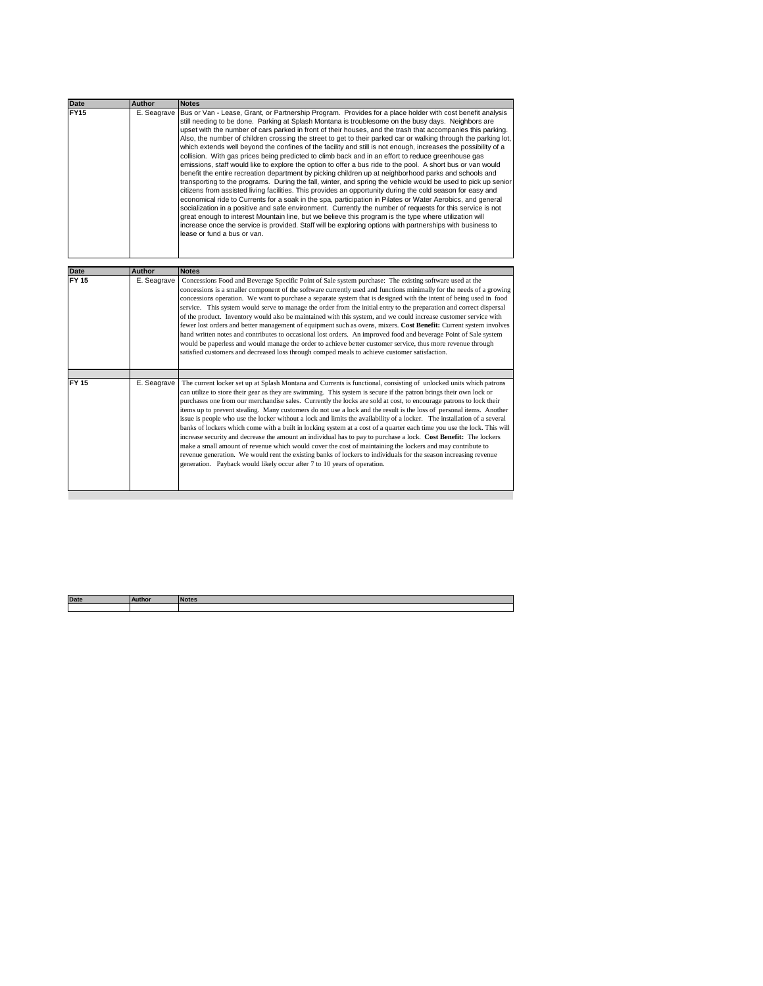| <b>Date</b>  | <b>Author</b> | <b>Notes</b>                                                                                                                                                                                                                                                                                                                                                                                                                                                                                                                                                                                                                                                                                                                                                                                                                                                                                                                                                                                                                                                                                                                                                                                                                                                                                                                                                                                                                                                                                                                                                                                                       |
|--------------|---------------|--------------------------------------------------------------------------------------------------------------------------------------------------------------------------------------------------------------------------------------------------------------------------------------------------------------------------------------------------------------------------------------------------------------------------------------------------------------------------------------------------------------------------------------------------------------------------------------------------------------------------------------------------------------------------------------------------------------------------------------------------------------------------------------------------------------------------------------------------------------------------------------------------------------------------------------------------------------------------------------------------------------------------------------------------------------------------------------------------------------------------------------------------------------------------------------------------------------------------------------------------------------------------------------------------------------------------------------------------------------------------------------------------------------------------------------------------------------------------------------------------------------------------------------------------------------------------------------------------------------------|
| <b>FY15</b>  | E. Seagrave   | Bus or Van - Lease, Grant, or Partnership Program. Provides for a place holder with cost benefit analysis<br>still needing to be done. Parking at Splash Montana is troublesome on the busy days. Neighbors are<br>upset with the number of cars parked in front of their houses, and the trash that accompanies this parking.<br>Also, the number of children crossing the street to get to their parked car or walking through the parking lot,<br>which extends well beyond the confines of the facility and still is not enough, increases the possibility of a<br>collision. With gas prices being predicted to climb back and in an effort to reduce greenhouse gas<br>emissions, staff would like to explore the option to offer a bus ride to the pool. A short bus or van would<br>benefit the entire recreation department by picking children up at neighborhood parks and schools and<br>transporting to the programs. During the fall, winter, and spring the vehicle would be used to pick up senior<br>citizens from assisted living facilities. This provides an opportunity during the cold season for easy and<br>economical ride to Currents for a soak in the spa, participation in Pilates or Water Aerobics, and general<br>socialization in a positive and safe environment. Currently the number of requests for this service is not<br>great enough to interest Mountain line, but we believe this program is the type where utilization will<br>increase once the service is provided. Staff will be exploring options with partnerships with business to<br>lease or fund a bus or van. |
|              |               |                                                                                                                                                                                                                                                                                                                                                                                                                                                                                                                                                                                                                                                                                                                                                                                                                                                                                                                                                                                                                                                                                                                                                                                                                                                                                                                                                                                                                                                                                                                                                                                                                    |
| <b>Date</b>  | <b>Author</b> | <b>Notes</b>                                                                                                                                                                                                                                                                                                                                                                                                                                                                                                                                                                                                                                                                                                                                                                                                                                                                                                                                                                                                                                                                                                                                                                                                                                                                                                                                                                                                                                                                                                                                                                                                       |
| FY 15        | E. Seagrave   | Concessions Food and Beverage Specific Point of Sale system purchase: The existing software used at the<br>concessions is a smaller component of the software currently used and functions minimally for the needs of a growing<br>concessions operation. We want to purchase a separate system that is designed with the intent of being used in food<br>service. This system would serve to manage the order from the initial entry to the preparation and correct dispersal<br>of the product. Inventory would also be maintained with this system, and we could increase customer service with<br>fewer lost orders and better management of equipment such as ovens, mixers. Cost Benefit: Current system involves<br>hand written notes and contributes to occasional lost orders. An improved food and beverage Point of Sale system<br>would be paperless and would manage the order to achieve better customer service, thus more revenue through<br>satisfied customers and decreased loss through comped meals to achieve customer satisfaction.                                                                                                                                                                                                                                                                                                                                                                                                                                                                                                                                                        |
| <b>FY 15</b> | E. Seagrave   | The current locker set up at Splash Montana and Currents is functional, consisting of unlocked units which patrons<br>can utilize to store their gear as they are swimming. This system is secure if the patron brings their own lock or<br>purchases one from our merchandise sales. Currently the locks are sold at cost, to encourage patrons to lock their<br>items up to prevent stealing. Many customers do not use a lock and the result is the loss of personal items. Another<br>issue is people who use the locker without a lock and limits the availability of a locker. The installation of a several<br>banks of lockers which come with a built in locking system at a cost of a quarter each time you use the lock. This will<br>increase security and decrease the amount an individual has to pay to purchase a lock. Cost Benefit: The lockers<br>make a small amount of revenue which would cover the cost of maintaining the lockers and may contribute to<br>revenue generation. We would rent the existing banks of lockers to individuals for the season increasing revenue<br>generation. Payback would likely occur after 7 to 10 years of operation.                                                                                                                                                                                                                                                                                                                                                                                                                                    |
|              |               |                                                                                                                                                                                                                                                                                                                                                                                                                                                                                                                                                                                                                                                                                                                                                                                                                                                                                                                                                                                                                                                                                                                                                                                                                                                                                                                                                                                                                                                                                                                                                                                                                    |

| <b>Date</b> | Author | <b>Notes</b> |
|-------------|--------|--------------|
|             |        |              |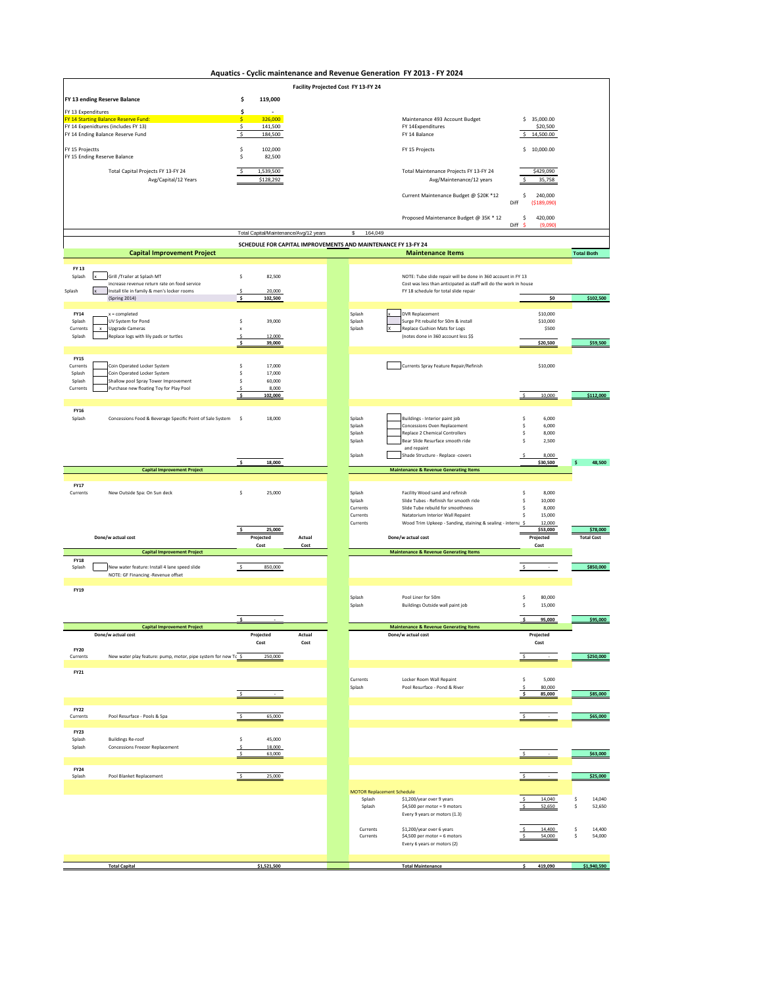**Aquatics - Cyclic maintenance and Revenue Generation FY 2013 - FY 2024**

|                         | Ayuatics -                                                                                  |                           |                                                               | Facility Projected Cost FY 13-FY 24         | Cyclic manitenance and Revenue Generation TT 2015 - IT 2024                                                |                 |                              |                              |
|-------------------------|---------------------------------------------------------------------------------------------|---------------------------|---------------------------------------------------------------|---------------------------------------------|------------------------------------------------------------------------------------------------------------|-----------------|------------------------------|------------------------------|
|                         | FY 13 ending Reserve Balance                                                                | \$<br>119,000             |                                                               |                                             |                                                                                                            |                 |                              |                              |
| FY 13 Expenditures      |                                                                                             | \$                        | $\sim$                                                        |                                             |                                                                                                            |                 |                              |                              |
|                         | FY 14 Starting Balance Reserve Fund:<br>FY 14 Expenidtures (includes FY 13)                 | s.<br>-\$                 | 326,000<br>141,500                                            |                                             | Maintenance 493 Account Budget<br>FY 14Expenditures                                                        |                 | \$35,000.00<br>\$20,500      |                              |
|                         | FY 14 Ending Balance Reserve Fund                                                           | $\boldsymbol{\mathsf{S}}$ | 184,500                                                       |                                             | FY 14 Balance                                                                                              | \$              | 14,500.00                    |                              |
|                         | FY 15 Projectts<br>FY 15 Ending Reserve Balance                                             |                           | 102,000<br>82,500                                             |                                             | FY 15 Projects                                                                                             |                 | \$10,000.00                  |                              |
|                         | Total Capital Projects FY 13-FY 24<br>Avg/Capital/12 Years                                  | 1,539,500<br>\$128,292    |                                                               |                                             | Total Maintenance Projects FY 13-FY 24<br>Avg/Maintenance/12 years                                         | \$              | \$429,090<br>35,758          |                              |
|                         |                                                                                             |                           |                                                               |                                             | Current Maintenance Budget @ \$20K *12                                                                     | \$<br>Diff      | 240,000<br>( \$189,090)      |                              |
|                         |                                                                                             |                           |                                                               |                                             | Proposed Maintenance Budget @ 35K * 12                                                                     | \$<br>Diff<br>Š | 420,000<br>(9,090)           |                              |
|                         |                                                                                             |                           | Total Capital/Maintenance/Avg/12 years                        | 164,049                                     |                                                                                                            |                 |                              |                              |
|                         | <b>Capital Improvement Project</b>                                                          |                           | SCHEDULE FOR CAPITAL IMPROVEMENTS AND MAINTENANCE FY 13-FY 24 |                                             | <b>Maintenance Items</b>                                                                                   |                 |                              | <b>Total Both</b>            |
| FY 13                   |                                                                                             |                           |                                                               |                                             |                                                                                                            |                 |                              |                              |
| Splash                  | Grill /Trailer at Splash MT                                                                 | \$                        | 82,500                                                        |                                             | NOTE: Tube slide repair will be done in 360 account in FY 13                                               |                 |                              |                              |
| Splash                  | increase revenue return rate on food service<br>Install tile in family & men's locker rooms |                           | 20,000                                                        |                                             | Cost was less than anticipated as staff will do the work in house<br>FY 18 schedule for total slide repair |                 |                              |                              |
|                         | (Spring 2014)                                                                               | $\boldsymbol{\mathsf{s}}$ | 102,500                                                       |                                             |                                                                                                            |                 | \$0                          | \$102,500                    |
| <b>FY14</b>             | $x = completed$<br>UV System for Pond                                                       | \$                        | 39,000                                                        | Splash                                      | <b>DVR Replacement</b><br>Surge Pit rebuild for 50m & install                                              |                 | \$10,000                     |                              |
| Splash<br>Currents      | <b>Upgrade Cameras</b>                                                                      | $\boldsymbol{\mathsf{x}}$ |                                                               | Splash<br>Splash                            | Replace Cushion Mats for Logs                                                                              |                 | \$10,000<br>\$500            |                              |
| Splash                  | Replace logs with lily pads or turtles                                                      | -\$<br>\$                 | 12,000<br>39,000                                              |                                             | (notes done in 360 account less \$\$                                                                       |                 | \$20,500                     | \$59,500                     |
| <b>FY15</b>             |                                                                                             |                           |                                                               |                                             |                                                                                                            |                 |                              |                              |
| Currents                | Coin Operated Locker System                                                                 | \$                        | 17,000                                                        |                                             | Currents Spray Feature Repair/Refinish                                                                     |                 | \$10,000                     |                              |
| Splash<br>Splash        | Coin Operated Locker System<br>Shallow pool Spray Tower Improvement                         | -S<br>\$                  | 17,000<br>60,000                                              |                                             |                                                                                                            |                 |                              |                              |
| Currents                | Purchase new floating Toy for Play Pool                                                     | $\mathsf{S}$<br>s         | 8,000                                                         |                                             |                                                                                                            | Ś               | 10,000                       | \$112,000                    |
|                         |                                                                                             |                           | 102,000                                                       |                                             |                                                                                                            |                 |                              |                              |
| <b>FY16</b><br>Splash   | Concessions Food & Beverage Specific Point of Sale System                                   | - s                       | 18,000                                                        | Splash                                      | Buildings - Interior paint job                                                                             | S               | 6,000                        |                              |
|                         |                                                                                             |                           |                                                               | Splash                                      | Concessions Oven Replacement                                                                               | S               | 6,000                        |                              |
|                         |                                                                                             |                           |                                                               | Splash<br>Splash                            | Replace 2 Chemical Controllers<br>Bear Slide Resurface smooth ride                                         | \$<br>S         | 8,000<br>2,500               |                              |
|                         |                                                                                             |                           |                                                               | Splash                                      | and repaint<br>Shade Structure - Replace -covers                                                           | $\mathsf{s}$    | 8,000                        |                              |
|                         |                                                                                             | s                         | 18,000                                                        |                                             |                                                                                                            |                 | \$30,500                     | 48,500<br>s.                 |
|                         | <b>Capital Improvement Project</b>                                                          |                           |                                                               |                                             | <b>Maintenance &amp; Revenue Generating Items</b>                                                          |                 |                              |                              |
| <b>FY17</b><br>Currents | New Outside Spa: On Sun deck                                                                | -S                        | 25,000                                                        | Splash                                      | Facility Wood sand and refinish                                                                            | S               | 8,000                        |                              |
|                         |                                                                                             |                           |                                                               | Splash                                      | Slide Tubes - Refinish for smooth ride                                                                     | S               | 10,000                       |                              |
|                         |                                                                                             |                           |                                                               | Currents<br>Currents                        | Slide Tube rebuild for smoothness<br>Natatorium Interior Wall Repaint                                      | S<br>\$         | 8,000<br>15,000              |                              |
|                         |                                                                                             |                           | 25,000                                                        | Currents                                    | Wood Trim Upkeep - Sanding, staining & sealing - interna \$                                                |                 | 12,000<br>\$53,000           | \$78,000                     |
|                         | Done/w actual cost                                                                          | Projected                 | Actual                                                        |                                             | Done/w actual cost                                                                                         |                 | Projected                    | <b>Total Cost</b>            |
|                         | <b>Capital Improvement Project</b>                                                          | Cost                      | Cost                                                          |                                             | <b>Maintenance &amp; Revenue Generating Items</b>                                                          |                 | Cost                         |                              |
| <b>FY18</b><br>Splash   | New water feature: Install 4 lane speed slide                                               | -\$                       | 850,000                                                       |                                             |                                                                                                            | $\mathsf{S}$    |                              | \$850,000                    |
|                         | NOTE: GF Financing -Revenue offset                                                          |                           |                                                               |                                             |                                                                                                            |                 |                              |                              |
| <b>FY19</b>             |                                                                                             |                           |                                                               |                                             |                                                                                                            |                 |                              |                              |
|                         |                                                                                             |                           |                                                               | Splash<br>Splash                            | Pool Liner for 50m<br><b>Buildings Outside wall paint job</b>                                              | S<br>\$         | 80,000<br>15,000             |                              |
|                         |                                                                                             |                           |                                                               |                                             |                                                                                                            |                 |                              |                              |
|                         | <b>Capital Improvement Project</b>                                                          |                           |                                                               |                                             | <b>Maintenance &amp; Revenue Generating Items</b>                                                          | \$              | 95,000                       | \$95,000                     |
|                         | Done/w actual cost                                                                          | Projected<br>Cost         | Actual<br>Cost                                                |                                             | Done/w actual cost                                                                                         |                 | Projected<br>$\mathsf{Cost}$ |                              |
| <b>FY20</b><br>Currents | New water play feature: pump, motor, pipe system for new Tc \$                              |                           |                                                               |                                             |                                                                                                            | $\mathsf S$     |                              |                              |
|                         |                                                                                             |                           | 250,000                                                       |                                             |                                                                                                            |                 |                              | \$250,000                    |
| <b>FY21</b>             |                                                                                             |                           |                                                               | Currents                                    | Locker Room Wall Repaint                                                                                   | \$              | 5,000                        |                              |
|                         |                                                                                             |                           |                                                               | Splash                                      | Pool Resurface - Pond & River                                                                              | -S<br>s         | 80,000                       |                              |
|                         |                                                                                             |                           |                                                               |                                             |                                                                                                            |                 | 85,000                       | \$85,000                     |
| <b>FY22</b><br>Currents | Pool Resurface - Pools & Spa                                                                | s.                        | 65,000                                                        |                                             |                                                                                                            |                 |                              | \$65,000                     |
|                         |                                                                                             |                           |                                                               |                                             |                                                                                                            |                 |                              |                              |
| <b>FY23</b><br>Splash   | <b>Buildings Re-roof</b>                                                                    | \$                        | 45,000                                                        |                                             |                                                                                                            |                 |                              |                              |
| Splash                  | <b>Concessions Freezer Replacement</b>                                                      | $\leq$                    | 18,000<br>63,000                                              |                                             |                                                                                                            |                 |                              | \$63,000                     |
|                         |                                                                                             |                           |                                                               |                                             |                                                                                                            |                 |                              |                              |
| <b>FY24</b><br>Splash   | Pool Blanket Replacement                                                                    | $\mathsf{S}$              | 25,000                                                        |                                             |                                                                                                            |                 |                              | \$25,000                     |
|                         |                                                                                             |                           |                                                               |                                             |                                                                                                            |                 |                              |                              |
|                         |                                                                                             |                           |                                                               | <b>MOTOR Replacement Schedule</b><br>Splash | \$1,200/year over 9 years                                                                                  |                 | 14,040                       | \$<br>14,040                 |
|                         |                                                                                             |                           |                                                               | Splash                                      | \$4,500 per motor = 9 motors<br>Every 9 years or motors (1.3)                                              |                 | 52.650                       | 52,650<br>s                  |
|                         |                                                                                             |                           |                                                               |                                             |                                                                                                            |                 |                              |                              |
|                         |                                                                                             |                           |                                                               | Currents<br>Currents                        | \$1,200/year over 6 years<br>\$4,500 per motor = 6 motors                                                  |                 | 14,400<br>54,000             | \$<br>14,400<br>\$<br>54,000 |
|                         |                                                                                             |                           |                                                               |                                             | Every 6 years or motors (2)                                                                                |                 |                              |                              |
|                         |                                                                                             |                           |                                                               |                                             |                                                                                                            |                 |                              |                              |
|                         | <b>Total Capital</b>                                                                        | \$1,521,500               |                                                               |                                             | <b>Total Maintenance</b>                                                                                   |                 | 419,090                      | \$1,940,590                  |